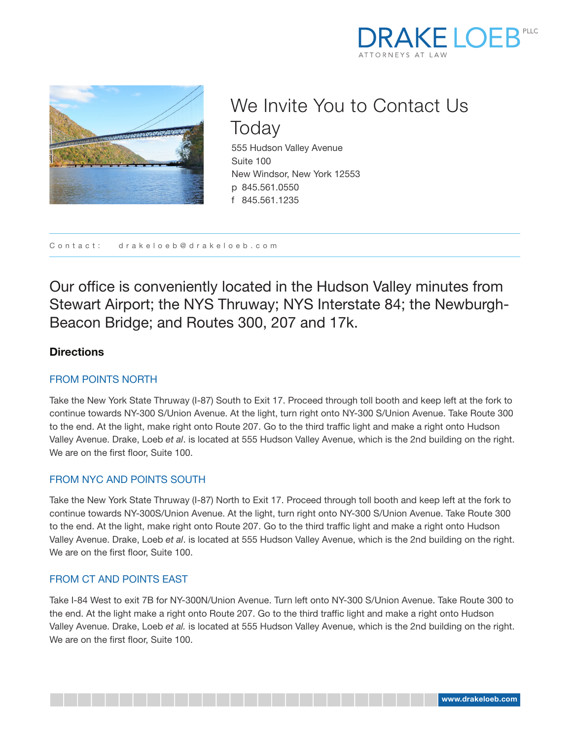



# We Invite You to Contact Us **Today**

555 Hudson Valley Avenue Suite 100 New Windsor, New York 12553 p 845.561.0550 f 845.561.1235

Contact: drakeloeb@drakeloeb.com

Our office is conveniently located in the Hudson Valley minutes from Stewart Airport; the NYS Thruway; NYS Interstate 84; the Newburgh-Beacon Bridge; and Routes 300, 207 and 17k.

# **Directions**

## FROM POINTS NORTH

Take the New York State Thruway (I-87) South to Exit 17. Proceed through toll booth and keep left at the fork to continue towards NY-300 S/Union Avenue. At the light, turn right onto NY-300 S/Union Avenue. Take Route 300 to the end. At the light, make right onto Route 207. Go to the third traffic light and make a right onto Hudson Valley Avenue. Drake, Loeb *et al*. is located at 555 Hudson Valley Avenue, which is the 2nd building on the right. We are on the first floor, Suite 100.

#### FROM NYC AND POINTS SOUTH

Take the New York State Thruway (I-87) North to Exit 17. Proceed through toll booth and keep left at the fork to continue towards NY-300S/Union Avenue. At the light, turn right onto NY-300 S/Union Avenue. Take Route 300 to the end. At the light, make right onto Route 207. Go to the third traffic light and make a right onto Hudson Valley Avenue. Drake, Loeb *et al*. is located at 555 Hudson Valley Avenue, which is the 2nd building on the right. We are on the first floor, Suite 100.

#### FROM CT AND POINTS EAST

Take I-84 West to exit 7B for NY-300N/Union Avenue. Turn left onto NY-300 S/Union Avenue. Take Route 300 to the end. At the light make a right onto Route 207. Go to the third traffic light and make a right onto Hudson Valley Avenue. Drake, Loeb *et al.* is located at 555 Hudson Valley Avenue, which is the 2nd building on the right. We are on the first floor, Suite 100.